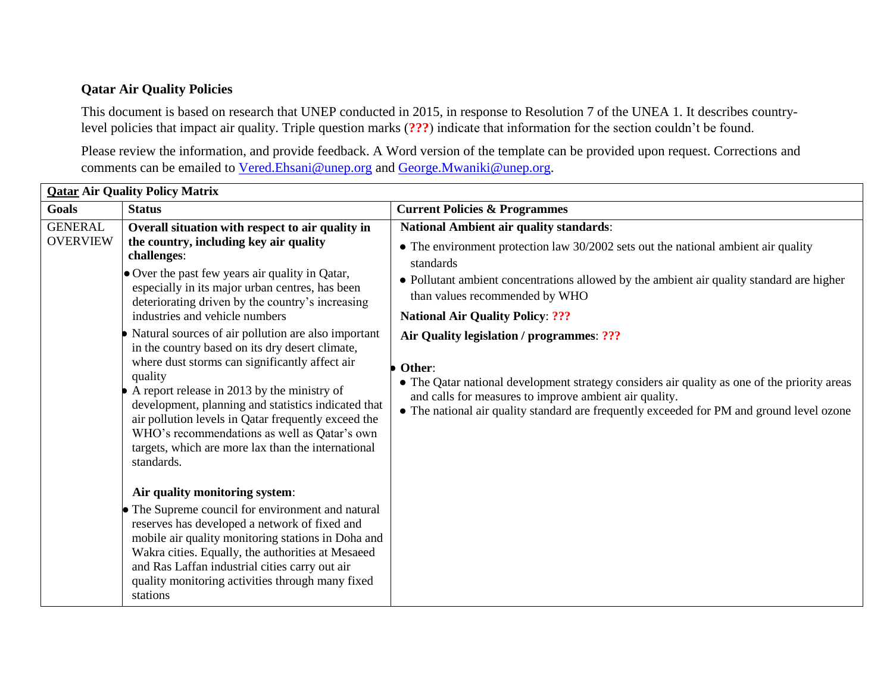## **Qatar Air Quality Policies**

This document is based on research that UNEP conducted in 2015, in response to Resolution 7 of the UNEA 1. It describes countrylevel policies that impact air quality. Triple question marks (**???**) indicate that information for the section couldn't be found.

Please review the information, and provide feedback. A Word version of the template can be provided upon request. Corrections and comments can be emailed to [Vered.Ehsani@unep.org](mailto:Vered.Ehsani@unep.org) and [George.Mwaniki@unep.org.](mailto:George.Mwaniki@unep.org)

| <b>Qatar Air Quality Policy Matrix</b> |                                                                                                                                                                                                                                                                                                                                                                                                                                                      |                                                                                                                                                                                                                                                                                                            |  |  |
|----------------------------------------|------------------------------------------------------------------------------------------------------------------------------------------------------------------------------------------------------------------------------------------------------------------------------------------------------------------------------------------------------------------------------------------------------------------------------------------------------|------------------------------------------------------------------------------------------------------------------------------------------------------------------------------------------------------------------------------------------------------------------------------------------------------------|--|--|
| Goals                                  | <b>Status</b>                                                                                                                                                                                                                                                                                                                                                                                                                                        | <b>Current Policies &amp; Programmes</b>                                                                                                                                                                                                                                                                   |  |  |
| <b>GENERAL</b><br><b>OVERVIEW</b>      | Overall situation with respect to air quality in<br>the country, including key air quality<br>challenges:                                                                                                                                                                                                                                                                                                                                            | <b>National Ambient air quality standards:</b><br>$\bullet$ The environment protection law 30/2002 sets out the national ambient air quality<br>standards                                                                                                                                                  |  |  |
|                                        | • Over the past few years air quality in Qatar,<br>especially in its major urban centres, has been<br>deteriorating driven by the country's increasing                                                                                                                                                                                                                                                                                               | • Pollutant ambient concentrations allowed by the ambient air quality standard are higher<br>than values recommended by WHO                                                                                                                                                                                |  |  |
|                                        | industries and vehicle numbers                                                                                                                                                                                                                                                                                                                                                                                                                       | <b>National Air Quality Policy: ???</b>                                                                                                                                                                                                                                                                    |  |  |
|                                        | Natural sources of air pollution are also important<br>in the country based on its dry desert climate,<br>where dust storms can significantly affect air<br>quality<br>A report release in 2013 by the ministry of<br>development, planning and statistics indicated that<br>air pollution levels in Qatar frequently exceed the<br>WHO's recommendations as well as Qatar's own<br>targets, which are more lax than the international<br>standards. | Air Quality legislation / programmes: ???<br>Other:<br>• The Qatar national development strategy considers air quality as one of the priority areas<br>and calls for measures to improve ambient air quality.<br>• The national air quality standard are frequently exceeded for PM and ground level ozone |  |  |
|                                        | Air quality monitoring system:                                                                                                                                                                                                                                                                                                                                                                                                                       |                                                                                                                                                                                                                                                                                                            |  |  |
|                                        | • The Supreme council for environment and natural<br>reserves has developed a network of fixed and<br>mobile air quality monitoring stations in Doha and<br>Wakra cities. Equally, the authorities at Mesaeed<br>and Ras Laffan industrial cities carry out air<br>quality monitoring activities through many fixed<br>stations                                                                                                                      |                                                                                                                                                                                                                                                                                                            |  |  |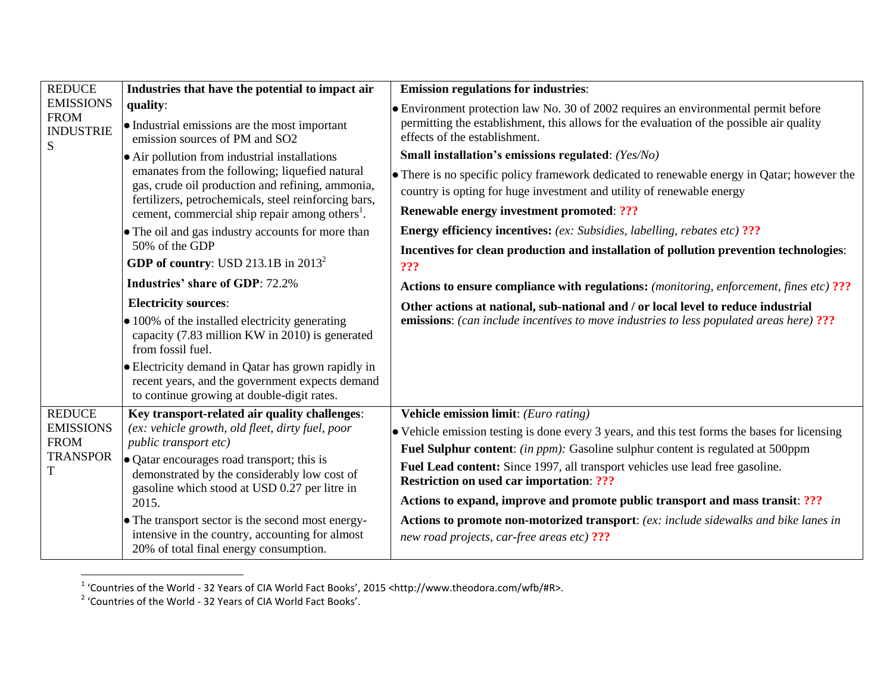| <b>REDUCE</b><br><b>EMISSIONS</b><br><b>FROM</b><br><b>INDUSTRIE</b><br>S | Industries that have the potential to impact air                                                                                                                                                                                                                                                                                                                                                                                     | <b>Emission regulations for industries:</b>                                                                                                                                                                                                                                                                                                                                                                                                                                                                                                                                                 |
|---------------------------------------------------------------------------|--------------------------------------------------------------------------------------------------------------------------------------------------------------------------------------------------------------------------------------------------------------------------------------------------------------------------------------------------------------------------------------------------------------------------------------|---------------------------------------------------------------------------------------------------------------------------------------------------------------------------------------------------------------------------------------------------------------------------------------------------------------------------------------------------------------------------------------------------------------------------------------------------------------------------------------------------------------------------------------------------------------------------------------------|
|                                                                           | quality:<br>• Industrial emissions are the most important<br>emission sources of PM and SO2                                                                                                                                                                                                                                                                                                                                          | • Environment protection law No. 30 of 2002 requires an environmental permit before<br>permitting the establishment, this allows for the evaluation of the possible air quality<br>effects of the establishment.<br>Small installation's emissions regulated: (Yes/No)                                                                                                                                                                                                                                                                                                                      |
|                                                                           | • Air pollution from industrial installations<br>emanates from the following; liquefied natural<br>gas, crude oil production and refining, ammonia,<br>fertilizers, petrochemicals, steel reinforcing bars,<br>cement, commercial ship repair among others <sup>1</sup> .                                                                                                                                                            | • There is no specific policy framework dedicated to renewable energy in Qatar; however the<br>country is opting for huge investment and utility of renewable energy<br>Renewable energy investment promoted: ???                                                                                                                                                                                                                                                                                                                                                                           |
|                                                                           | • The oil and gas industry accounts for more than<br>50% of the GDP<br>GDP of country: USD 213.1B in $2013^2$                                                                                                                                                                                                                                                                                                                        | <b>Energy efficiency incentives:</b> (ex: Subsidies, labelling, rebates etc) ???<br>Incentives for clean production and installation of pollution prevention technologies:<br>???                                                                                                                                                                                                                                                                                                                                                                                                           |
|                                                                           | <b>Industries' share of GDP: 72.2%</b>                                                                                                                                                                                                                                                                                                                                                                                               | Actions to ensure compliance with regulations: (monitoring, enforcement, fines etc) ???                                                                                                                                                                                                                                                                                                                                                                                                                                                                                                     |
|                                                                           | <b>Electricity sources:</b><br>$\bullet$ 100% of the installed electricity generating<br>capacity (7.83 million KW in 2010) is generated<br>from fossil fuel.<br>• Electricity demand in Qatar has grown rapidly in<br>recent years, and the government expects demand<br>to continue growing at double-digit rates.                                                                                                                 | Other actions at national, sub-national and / or local level to reduce industrial<br><b>emissions:</b> (can include incentives to move industries to less populated areas here) ???                                                                                                                                                                                                                                                                                                                                                                                                         |
| <b>REDUCE</b><br><b>EMISSIONS</b><br><b>FROM</b><br><b>TRANSPOR</b><br>T  | Key transport-related air quality challenges:<br>(ex: vehicle growth, old fleet, dirty fuel, poor<br>public transport etc)<br>• Qatar encourages road transport; this is<br>demonstrated by the considerably low cost of<br>gasoline which stood at USD 0.27 per litre in<br>2015.<br>• The transport sector is the second most energy-<br>intensive in the country, accounting for almost<br>20% of total final energy consumption. | <b>Vehicle emission limit:</b> (Euro rating)<br>• Vehicle emission testing is done every 3 years, and this test forms the bases for licensing<br>Fuel Sulphur content: (in ppm): Gasoline sulphur content is regulated at 500ppm<br>Fuel Lead content: Since 1997, all transport vehicles use lead free gasoline.<br><b>Restriction on used car importation: ???</b><br>Actions to expand, improve and promote public transport and mass transit: ???<br>Actions to promote non-motorized transport: (ex: include sidewalks and bike lanes in<br>new road projects, car-free areas etc) ??? |

 1 'Countries of the World - 32 Years of CIA World Fact Books', 2015 <http://www.theodora.com/wfb/#R>. 2 'Countries of the World - 32 Years of CIA World Fact Books'.